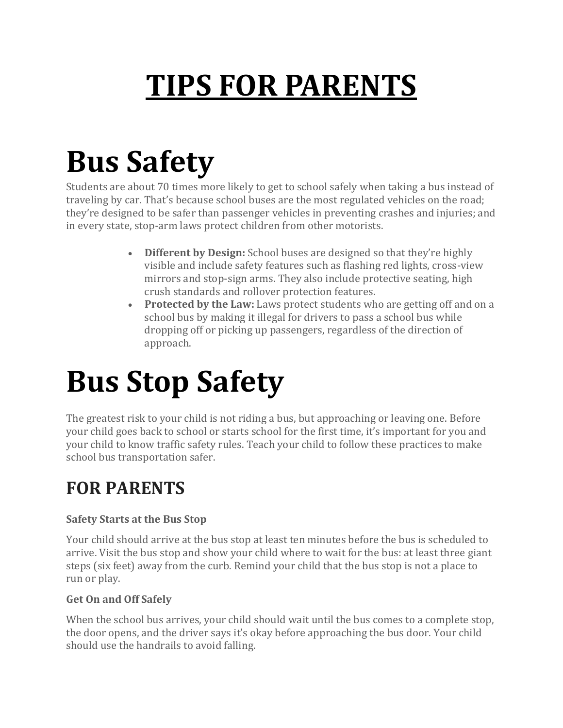### **TIPS FOR PARENTS**

# **Bus Safety**

Students are about 70 times more likely to get to school safely when taking a bus instead of traveling by car. That's because school buses are the most regulated vehicles on the road; they're designed to be safer than passenger vehicles in preventing crashes and injuries; and in every state, stop-arm laws protect children from other motorists.

- **Different by Design:** School buses are designed so that they're highly visible and include safety features such as flashing red lights, cross-view mirrors and stop-sign arms. They also include protective seating, high crush standards and rollover protection features.
- **Protected by the Law:** Laws protect students who are getting off and on a school bus by making it illegal for drivers to pass a school bus while dropping off or picking up passengers, regardless of the direction of approach.

# **Bus Stop Safety**

The greatest risk to your child is not riding a bus, but approaching or leaving one. Before your child goes back to school or starts school for the first time, it's important for you and your child to know traffic safety rules. Teach your child to follow these practices to make school bus transportation safer.

### **FOR PARENTS**

#### **Safety Starts at the Bus Stop**

Your child should arrive at the bus stop at least ten minutes before the bus is scheduled to arrive. Visit the bus stop and show your child where to wait for the bus: at least three giant steps (six feet) away from the curb. Remind your child that the bus stop is not a place to run or play.

#### **Get On and Off Safely**

When the school bus arrives, your child should wait until the bus comes to a complete stop, the door opens, and the driver says it's okay before approaching the bus door. Your child should use the handrails to avoid falling.